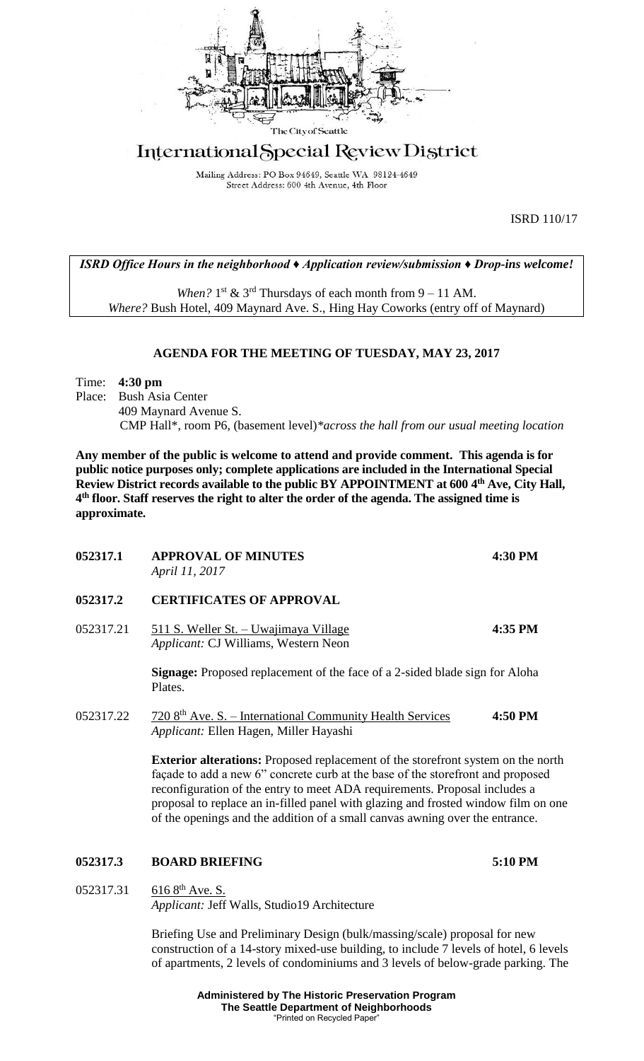

# International Special Review District

Mailing Address: PO Box 94649, Seattle WA 98124-4649 Street Address: 600 4th Avenue, 4th Floor

ISRD 110/17

# *ISRD Office Hours in the neighborhood ♦ Application review/submission ♦ Drop-ins welcome!*

When?  $1^{st}$  &  $3^{rd}$  Thursdays of each month from  $9 - 11$  AM. *Where?* Bush Hotel, 409 Maynard Ave. S., Hing Hay Coworks (entry off of Maynard)

## **AGENDA FOR THE MEETING OF TUESDAY, MAY 23, 2017**

Time: **4:30 pm**

Place: Bush Asia Center 409 Maynard Avenue S. CMP Hall\*, room P6, (basement level)*\*across the hall from our usual meeting location*

**Any member of the public is welcome to attend and provide comment. This agenda is for public notice purposes only; complete applications are included in the International Special Review District records available to the public BY APPOINTMENT at 600 4th Ave, City Hall, 4 th floor. Staff reserves the right to alter the order of the agenda. The assigned time is approximate.** 

| <b>APPROVAL OF MINUTES</b><br>April 11, 2017                                                                                                                                                                                                                                                                                                                                                                                   | 4:30 PM |
|--------------------------------------------------------------------------------------------------------------------------------------------------------------------------------------------------------------------------------------------------------------------------------------------------------------------------------------------------------------------------------------------------------------------------------|---------|
| <b>CERTIFICATES OF APPROVAL</b>                                                                                                                                                                                                                                                                                                                                                                                                |         |
| 511 S. Weller St. - Uwajimaya Village<br>Applicant: CJ Williams, Western Neon                                                                                                                                                                                                                                                                                                                                                  | 4:35 PM |
| <b>Signage:</b> Proposed replacement of the face of a 2-sided blade sign for Aloha<br>Plates.                                                                                                                                                                                                                                                                                                                                  |         |
| 720 8 <sup>th</sup> Ave. S. – International Community Health Services<br>Applicant: Ellen Hagen, Miller Hayashi                                                                                                                                                                                                                                                                                                                | 4:50 PM |
| <b>Exterior alterations:</b> Proposed replacement of the storefront system on the north<br>façade to add a new 6" concrete curb at the base of the storefront and proposed<br>reconfiguration of the entry to meet ADA requirements. Proposal includes a<br>proposal to replace an in-filled panel with glazing and frosted window film on one<br>of the openings and the addition of a small canvas awning over the entrance. |         |
| <b>BOARD BRIEFING</b>                                                                                                                                                                                                                                                                                                                                                                                                          | 5:10 PM |
| $616 8^{th}$ Ave. S.<br>Applicant: Jeff Walls, Studio19 Architecture                                                                                                                                                                                                                                                                                                                                                           |         |
|                                                                                                                                                                                                                                                                                                                                                                                                                                |         |

Briefing Use and Preliminary Design (bulk/massing/scale) proposal for new construction of a 14-story mixed-use building, to include 7 levels of hotel, 6 levels of apartments, 2 levels of condominiums and 3 levels of below-grade parking. The